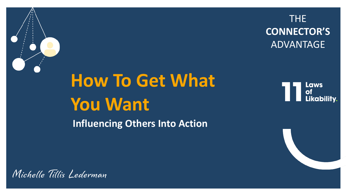

# **How To Get What You Want**

# THE **CONNECTOR'S**  ADVANTAGE

# Laws<br>of Likability.

**Influencing Others Into Action**

Michelle Tillis Lederman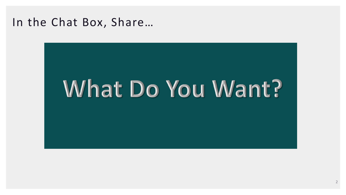# In the Chat Box, Share…

# What Do You Want?

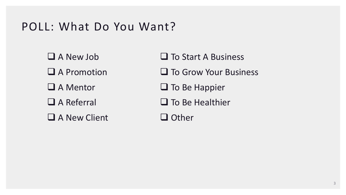3

# POLL: What Do You Want?

❑ A New Job ❑ A Promotion ❑ A Mentor ❑ A Referral ❑ A New Client □ To Start A Business

❑ To Grow Your Business

❑ To Be Happier

❑ To Be Healthier

❑ Other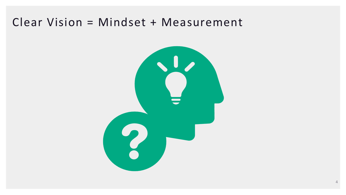4

# Clear Vision = Mindset + Measurement

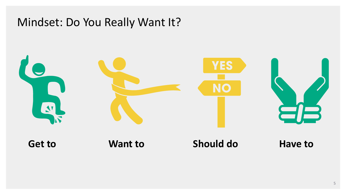



# Mindset: Do You Really Want It?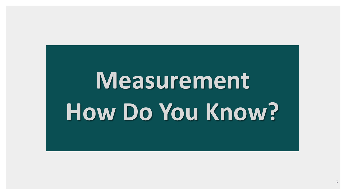6

# **Measurement How Do You Know?**

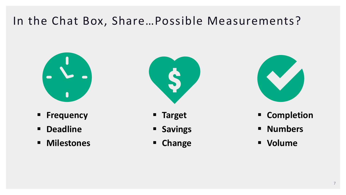

# In the Chat Box, Share…Possible Measurements?



- **Frequency**
- **Deadline**
- **Milestones**



# **Completion** ▪ **Numbers** ▪ **Volume**

- **Target**
- **Savings**
- **Change**



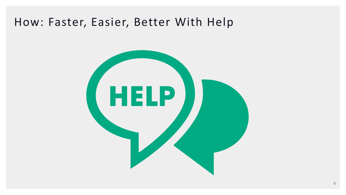# How: Faster, Easier, Better With Help

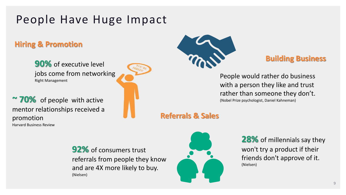# People Have Huge Impact

**92%** of consumers trust referrals from people they know and are 4X more likely to buy. (Nielsen)



#### **28%** of millennials say they won't try a product if their friends don't approve of it.

(Nielsen)

People would rather do business with a person they like and trust rather than someone they don't. (Nobel Prize psychologist, Daniel Kahneman)

**90%** of executive level jobs come from networking Right Management

**~ 70%** of people with active mentor relationships received a promotion Harvard Business Review





### **Hiring & Promotion**

### **Building Business**

**Referrals & Sales**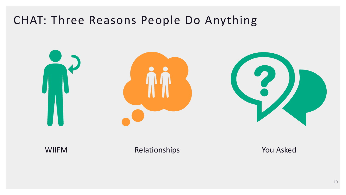# CHAT: Three Reasons People Do Anything



#### WIIFM Relationships **You Asked**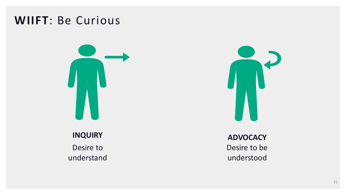# **WIIFT**: Be Curious





**ADVOCACY**  Desire to be understood

**INQUIRY** Desire to understand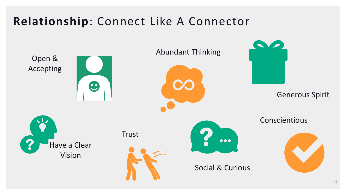# **Relationship**: Connect Like A Connector

### Generous Spirit

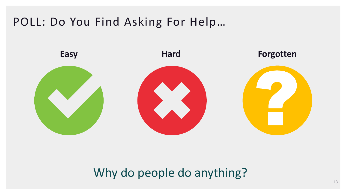# POLL: Do You Find Asking For Help…



# Why do people do anything?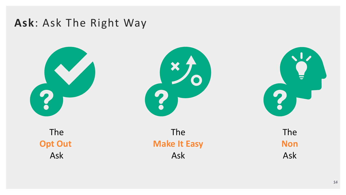# **Ask**: Ask The Right Way





The **Opt Out**  Ask

14 14

## The **Make It Easy** Ask



# The **Non** Ask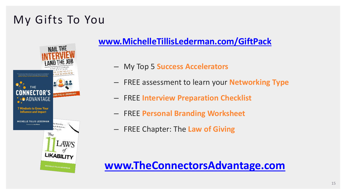# My Gifts To You



## **[www.MichelleTillisLederman.com/GiftPack](http://www.michelletillislederman.com/GiftPack)**

- My Top 5 **Success Accelerators**
- FREE assessment to learn your **Networking Type**
- FREE **Interview Preparation Checklist**
- FREE **Personal Branding Worksheet**
- FREE Chapter: The **Law of Giving**

# **[www.TheConnectorsAdvantage.com](http://www.theconnectorsadvantage.com/)**





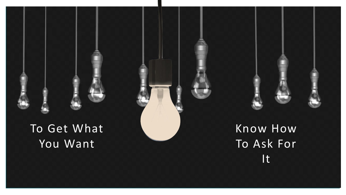# To Get What You Want



To Ask For It